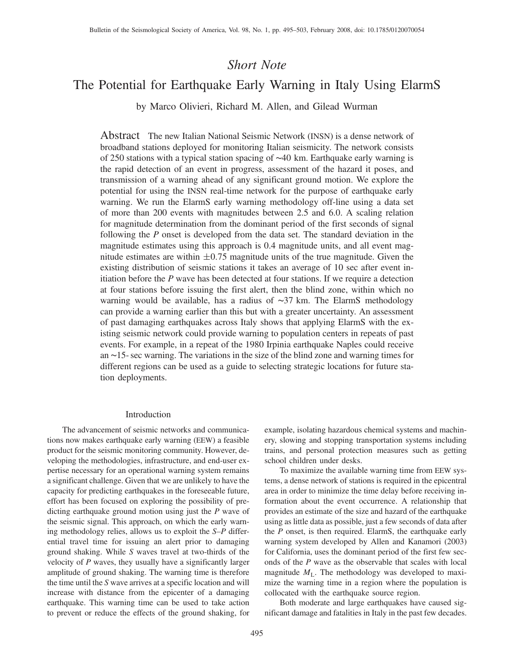## Short Note

# The Potential for Earthquake Early Warning in Italy Using ElarmS

by Marco Olivieri, Richard M. Allen, and Gilead Wurman

Abstract The new Italian National Seismic Network (INSN) is a dense network of broadband stations deployed for monitoring Italian seismicity. The network consists of 250 stations with a typical station spacing of ∼40 km. Earthquake early warning is the rapid detection of an event in progress, assessment of the hazard it poses, and transmission of a warning ahead of any significant ground motion. We explore the potential for using the INSN real-time network for the purpose of earthquake early warning. We run the ElarmS early warning methodology off-line using a data set of more than 200 events with magnitudes between 2.5 and 6.0. A scaling relation for magnitude determination from the dominant period of the first seconds of signal following the P onset is developed from the data set. The standard deviation in the magnitude estimates using this approach is 0.4 magnitude units, and all event magnitude estimates are within  $\pm 0.75$  magnitude units of the true magnitude. Given the existing distribution of seismic stations it takes an average of 10 sec after event initiation before the  $P$  wave has been detected at four stations. If we require a detection at four stations before issuing the first alert, then the blind zone, within which no warning would be available, has a radius of ∼37 km. The ElarmS methodology can provide a warning earlier than this but with a greater uncertainty. An assessment of past damaging earthquakes across Italy shows that applying ElarmS with the existing seismic network could provide warning to population centers in repeats of past events. For example, in a repeat of the 1980 Irpinia earthquake Naples could receive an ∼15- sec warning. The variations in the size of the blind zone and warning times for different regions can be used as a guide to selecting strategic locations for future station deployments.

#### Introduction

The advancement of seismic networks and communications now makes earthquake early warning (EEW) a feasible product for the seismic monitoring community. However, developing the methodologies, infrastructure, and end-user expertise necessary for an operational warning system remains a significant challenge. Given that we are unlikely to have the capacity for predicting earthquakes in the foreseeable future, effort has been focused on exploring the possibility of predicting earthquake ground motion using just the P wave of the seismic signal. This approach, on which the early warning methodology relies, allows us to exploit the S–P differential travel time for issuing an alert prior to damaging ground shaking. While S waves travel at two-thirds of the velocity of  $P$  waves, they usually have a significantly larger amplitude of ground shaking. The warning time is therefore the time until the S wave arrives at a specific location and will increase with distance from the epicenter of a damaging earthquake. This warning time can be used to take action to prevent or reduce the effects of the ground shaking, for example, isolating hazardous chemical systems and machinery, slowing and stopping transportation systems including trains, and personal protection measures such as getting school children under desks.

To maximize the available warning time from EEW systems, a dense network of stations is required in the epicentral area in order to minimize the time delay before receiving information about the event occurrence. A relationship that provides an estimate of the size and hazard of the earthquake using as little data as possible, just a few seconds of data after the P onset, is then required. ElarmS, the earthquake early warning system developed by Allen and Kanamori (2003) for California, uses the dominant period of the first few seconds of the P wave as the observable that scales with local magnitude  $M_{\rm L}$ . The methodology was developed to maximize the warning time in a region where the population is collocated with the earthquake source region.

Both moderate and large earthquakes have caused significant damage and fatalities in Italy in the past few decades.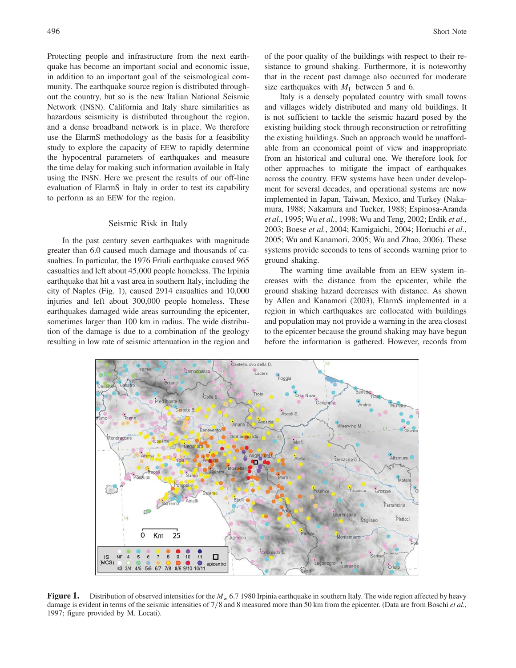Protecting people and infrastructure from the next earthquake has become an important social and economic issue, in addition to an important goal of the seismological community. The earthquake source region is distributed throughout the country, but so is the new Italian National Seismic Network (INSN). California and Italy share similarities as hazardous seismicity is distributed throughout the region, and a dense broadband network is in place. We therefore use the ElarmS methodology as the basis for a feasibility study to explore the capacity of EEW to rapidly determine the hypocentral parameters of earthquakes and measure the time delay for making such information available in Italy using the INSN. Here we present the results of our off-line evaluation of ElarmS in Italy in order to test its capability to perform as an EEW for the region.

#### Seismic Risk in Italy

In the past century seven earthquakes with magnitude greater than 6.0 caused much damage and thousands of casualties. In particular, the 1976 Friuli earthquake caused 965 casualties and left about 45,000 people homeless. The Irpinia earthquake that hit a vast area in southern Italy, including the city of Naples (Fig. 1), caused 2914 casualties and 10,000 injuries and left about 300,000 people homeless. These earthquakes damaged wide areas surrounding the epicenter, sometimes larger than 100 km in radius. The wide distribution of the damage is due to a combination of the geology resulting in low rate of seismic attenuation in the region and

Italy is a densely populated country with small towns and villages widely distributed and many old buildings. It is not sufficient to tackle the seismic hazard posed by the existing building stock through reconstruction or retrofitting the existing buildings. Such an approach would be unaffordable from an economical point of view and inappropriate from an historical and cultural one. We therefore look for other approaches to mitigate the impact of earthquakes across the country. EEW systems have been under development for several decades, and operational systems are now implemented in Japan, Taiwan, Mexico, and Turkey (Nakamura, 1988; Nakamura and Tucker, 1988; Espinosa-Aranda et al., 1995; Wu et al., 1998; Wu and Teng, 2002; Erdik et al., 2003; Boese et al., 2004; Kamigaichi, 2004; Horiuchi et al., 2005; Wu and Kanamori, 2005; Wu and Zhao, 2006). These systems provide seconds to tens of seconds warning prior to ground shaking.

The warning time available from an EEW system increases with the distance from the epicenter, while the ground shaking hazard decreases with distance. As shown by Allen and Kanamori (2003), ElarmS implemented in a region in which earthquakes are collocated with buildings and population may not provide a warning in the area closest to the epicenter because the ground shaking may have begun before the information is gathered. However, records from



**Figure 1.** Distribution of observed intensities for the  $M_w$  6.7 1980 Irpinia earthquake in southern Italy. The wide region affected by heavy damage is evident in terms of the seismic intensities of 7/8 and 8 measured mo 1997; figure provided by M. Locati).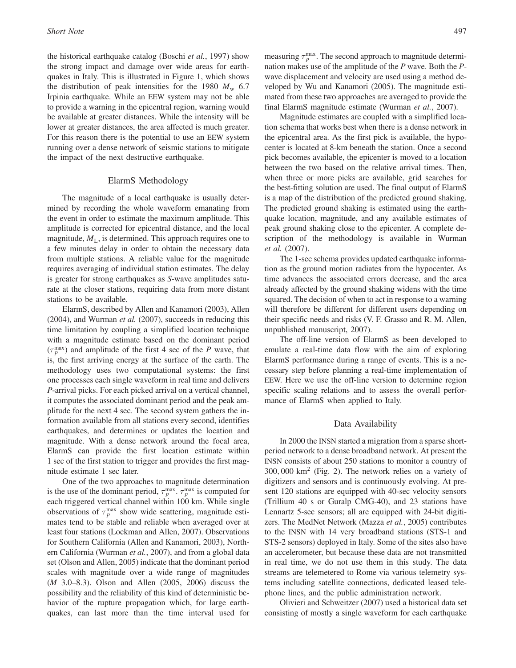the historical earthquake catalog (Boschi et al., 1997) show the strong impact and damage over wide areas for earthquakes in Italy. This is illustrated in Figure 1, which shows the distribution of peak intensities for the 1980  $M_{\rm w}$  6.7 Irpinia earthquake. While an EEW system may not be able to provide a warning in the epicentral region, warning would be available at greater distances. While the intensity will be lower at greater distances, the area affected is much greater. For this reason there is the potential to use an EEW system running over a dense network of seismic stations to mitigate the impact of the next destructive earthquake.

#### ElarmS Methodology

The magnitude of a local earthquake is usually determined by recording the whole waveform emanating from the event in order to estimate the maximum amplitude. This amplitude is corrected for epicentral distance, and the local magnitude,  $M_{\rm L}$ , is determined. This approach requires one to a few minutes delay in order to obtain the necessary data from multiple stations. A reliable value for the magnitude requires averaging of individual station estimates. The delay is greater for strong earthquakes as S-wave amplitudes saturate at the closer stations, requiring data from more distant stations to be available.

ElarmS, described by Allen and Kanamori (2003), Allen (2004), and Wurman et al. (2007), succeeds in reducing this time limitation by coupling a simplified location technique with a magnitude estimate based on the dominant period  $(\tau_p^{\text{max}})$  and amplitude of the first 4 sec of the P wave, that is, the first arriving energy at the surface of the earth. The methodology uses two computational systems: the first one processes each single waveform in real time and delivers P-arrival picks. For each picked arrival on a vertical channel, it computes the associated dominant period and the peak amplitude for the next 4 sec. The second system gathers the information available from all stations every second, identifies earthquakes, and determines or updates the location and magnitude. With a dense network around the focal area, ElarmS can provide the first location estimate within 1 sec of the first station to trigger and provides the first magnitude estimate 1 sec later.

One of the two approaches to magnitude determination is the use of the dominant period,  $\tau_p^{\text{max}}$ ,  $\tau_p^{\text{max}}$  is computed for each triggered vertical channel within 100 km. While single observations of  $\tau_p^{\text{max}}$  show wide scattering, magnitude estimates tend to be stable and reliable when averaged over at least four stations (Lockman and Allen, 2007). Observations for Southern California (Allen and Kanamori, 2003), Northern California (Wurman et al., 2007), and from a global data set (Olson and Allen, 2005) indicate that the dominant period scales with magnitude over a wide range of magnitudes (M 3.0–8.3). Olson and Allen (2005, 2006) discuss the possibility and the reliability of this kind of deterministic behavior of the rupture propagation which, for large earthquakes, can last more than the time interval used for

measuring  $\tau_p^{\text{max}}$ . The second approach to magnitude determination makes use of the amplitude of the P wave. Both the Pwave displacement and velocity are used using a method developed by Wu and Kanamori (2005). The magnitude estimated from these two approaches are averaged to provide the final ElarmS magnitude estimate (Wurman et al., 2007).

Magnitude estimates are coupled with a simplified location schema that works best when there is a dense network in the epicentral area. As the first pick is available, the hypocenter is located at 8-km beneath the station. Once a second pick becomes available, the epicenter is moved to a location between the two based on the relative arrival times. Then, when three or more picks are available, grid searches for the best-fitting solution are used. The final output of ElarmS is a map of the distribution of the predicted ground shaking. The predicted ground shaking is estimated using the earthquake location, magnitude, and any available estimates of peak ground shaking close to the epicenter. A complete description of the methodology is available in Wurman et al. (2007).

The 1-sec schema provides updated earthquake information as the ground motion radiates from the hypocenter. As time advances the associated errors decrease, and the area already affected by the ground shaking widens with the time squared. The decision of when to act in response to a warning will therefore be different for different users depending on their specific needs and risks (V. F. Grasso and R. M. Allen, unpublished manuscript, 2007).

The off-line version of ElarmS as been developed to emulate a real-time data flow with the aim of exploring ElarmS performance during a range of events. This is a necessary step before planning a real-time implementation of EEW. Here we use the off-line version to determine region specific scaling relations and to assess the overall performance of ElarmS when applied to Italy.

#### Data Availability

In 2000 the INSN started a migration from a sparse shortperiod network to a dense broadband network. At present the INSN consists of about 250 stations to monitor a country of  $300,000 \text{ km}^2$  (Fig. 2). The network relies on a variety of digitizers and sensors and is continuously evolving. At present 120 stations are equipped with 40-sec velocity sensors (Trillium 40 s or Guralp CMG-40), and 23 stations have Lennartz 5-sec sensors; all are equipped with 24-bit digitizers. The MedNet Network (Mazza et al., 2005) contributes to the INSN with 14 very broadband stations (STS-1 and STS-2 sensors) deployed in Italy. Some of the sites also have an accelerometer, but because these data are not transmitted in real time, we do not use them in this study. The data streams are telemetered to Rome via various telemetry systems including satellite connections, dedicated leased telephone lines, and the public administration network.

Olivieri and Schweitzer (2007) used a historical data set consisting of mostly a single waveform for each earthquake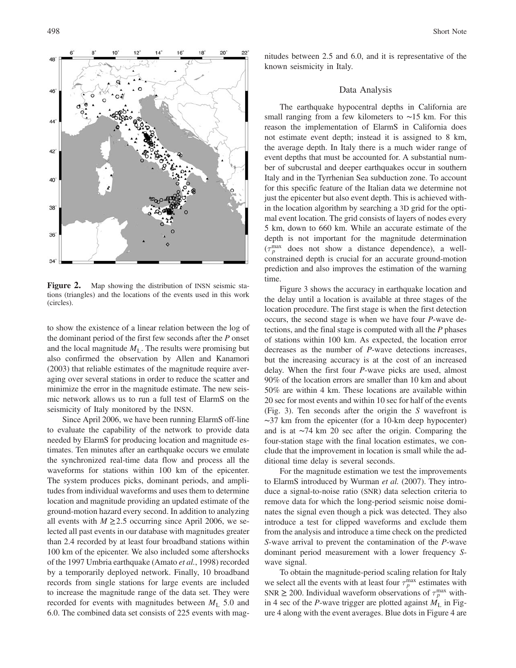

Figure 2. Map showing the distribution of INSN seismic sta-<br>tions (triangles) and the locations of the events used in this work (circles).

to show the existence of a linear relation between the log of the dominant period of the first few seconds after the  $P$  onset and the local magnitude  $M_L$ . The results were promising but also confirmed the observation by Allen and Kanamori (2003) that reliable estimates of the magnitude require averaging over several stations in order to reduce the scatter and minimize the error in the magnitude estimate. The new seismic network allows us to run a full test of ElarmS on the seismicity of Italy monitored by the INSN.

Since April 2006, we have been running ElarmS off-line to evaluate the capability of the network to provide data needed by ElarmS for producing location and magnitude estimates. Ten minutes after an earthquake occurs we emulate the synchronized real-time data flow and process all the waveforms for stations within 100 km of the epicenter. The system produces picks, dominant periods, and amplitudes from individual waveforms and uses them to determine location and magnitude providing an updated estimate of the ground-motion hazard every second. In addition to analyzing all events with  $M \ge 2.5$  occurring since April 2006, we selected all past events in our database with magnitudes greater than 2.4 recorded by at least four broadband stations within 100 km of the epicenter. We also included some aftershocks of the 1997 Umbria earthquake (Amato et al., 1998) recorded by a temporarily deployed network. Finally, 10 broadband records from single stations for large events are included to increase the magnitude range of the data set. They were recorded for events with magnitudes between  $M_L$  5.0 and 6.0. The combined data set consists of 225 events with magnitudes between 2.5 and 6.0, and it is representative of the known seismicity in Italy.

#### Data Analysis

The earthquake hypocentral depths in California are small ranging from a few kilometers to ∼15 km. For this reason the implementation of ElarmS in California does not estimate event depth; instead it is assigned to 8 km, the average depth. In Italy there is a much wider range of event depths that must be accounted for. A substantial number of subcrustal and deeper earthquakes occur in southern Italy and in the Tyrrhenian Sea subduction zone. To account for this specific feature of the Italian data we determine not just the epicenter but also event depth. This is achieved within the location algorithm by searching a 3D grid for the optimal event location. The grid consists of layers of nodes every 5 km, down to 660 km. While an accurate estimate of the depth is not important for the magnitude determination  $(\tau_p^{\text{max}})$  does not show a distance dependence), a wellconstrained depth is crucial for an accurate ground-motion prediction and also improves the estimation of the warning time.

Figure 3 shows the accuracy in earthquake location and the delay until a location is available at three stages of the location procedure. The first stage is when the first detection occurs, the second stage is when we have four P-wave detections, and the final stage is computed with all the  $P$  phases of stations within 100 km. As expected, the location error decreases as the number of P-wave detections increases, but the increasing accuracy is at the cost of an increased delay. When the first four P-wave picks are used, almost 90% of the location errors are smaller than 10 km and about 50% are within 4 km. These locations are available within 20 sec for most events and within 10 sec for half of the events (Fig. 3). Ten seconds after the origin the S wavefront is ∼37 km from the epicenter (for a 10-km deep hypocenter) and is at ∼74 km 20 sec after the origin. Comparing the four-station stage with the final location estimates, we conclude that the improvement in location is small while the additional time delay is several seconds.

For the magnitude estimation we test the improvements to ElarmS introduced by Wurman et al. (2007). They introduce a signal-to-noise ratio (SNR) data selection criteria to remove data for which the long-period seismic noise dominates the signal even though a pick was detected. They also introduce a test for clipped waveforms and exclude them from the analysis and introduce a time check on the predicted S-wave arrival to prevent the contamination of the P-wave dominant period measurement with a lower frequency Swave signal.

To obtain the magnitude-period scaling relation for Italy we select all the events with at least four  $\tau_p^{\text{max}}$  estimates with SNR  $\geq$  200. Individual waveform observations of  $\tau_p^{\text{max}}$  within 4 sec of the P-wave trigger are plotted against  $M_L$  in Figure 4 along with the event averages. Blue dots in Figure 4 are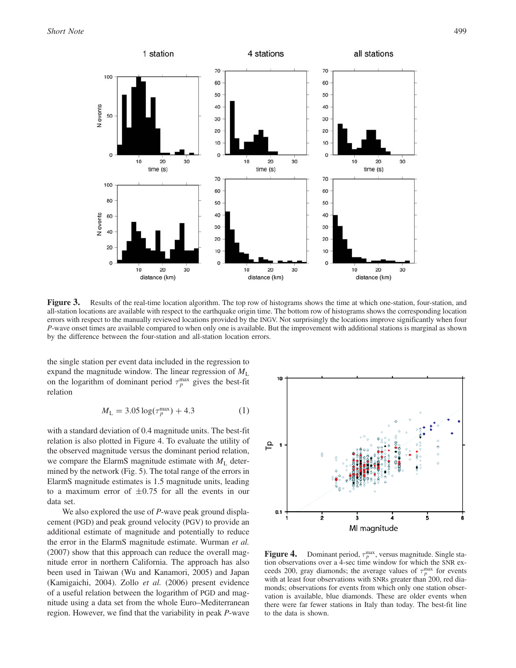

**Figure 3.** Results of the real-time location algorithm. The top row of histograms shows the time at which one-station, four-station, and all-station locations are available with respect to the earthquake origin time. The errors with respect to the manually reviewed locations provided by the INGV. Not surprisingly the locations improve significantly when four P-wave onset times are available compared to when only one is available. But the improvement with additional stations is marginal as shown by the difference between the four-station and all-station location errors.

the single station per event data included in the regression to expand the magnitude window. The linear regression of  $M_{\rm L}$ on the logarithm of dominant period  $\tau_p^{\text{max}}$  gives the best-fit relation

$$
M_{\rm L} = 3.05 \log(\tau_p^{\rm max}) + 4.3\tag{1}
$$

with a standard deviation of 0.4 magnitude units. The best-fit relation is also plotted in Figure 4. To evaluate the utility of the observed magnitude versus the dominant period relation, we compare the ElarmS magnitude estimate with  $M_L$  determined by the network (Fig. 5). The total range of the errors in ElarmS magnitude estimates is 1.5 magnitude units, leading to a maximum error of  $\pm 0.75$  for all the events in our data set.

We also explored the use of *P*-wave peak ground displacement (PGD) and peak ground velocity (PGV) to provide an additional estimate of magnitude and potentially to reduce the error in the ElarmS magnitude estimate. Wurman et al. (2007) show that this approach can reduce the overall magnitude error in northern California. The approach has also been used in Taiwan (Wu and Kanamori, 2005) and Japan (Kamigaichi, 2004). Zollo et al. (2006) present evidence of a useful relation between the logarithm of PGD and magnitude using a data set from the whole Euro–Mediterranean region. However, we find that the variability in peak P-wave



**Figure 4.** Dominant period,  $\tau_p^{\text{max}}$ , versus magnitude. Single station observations over a 4-sec time window for which the SNR ex-Dominant period,  $\tau_p^{\text{max}}$ , versus magnitude. Single staceeds 200, gray diamonds; the average values of  $\tau_p^{\text{max}}$  for events with at least four observations with SNRs greater than 200, red diamonds; observations for events from which only one station observation is available, blue diamonds. These are older events when there were far fewer stations in Italy than today. The best-fit line to the data is shown.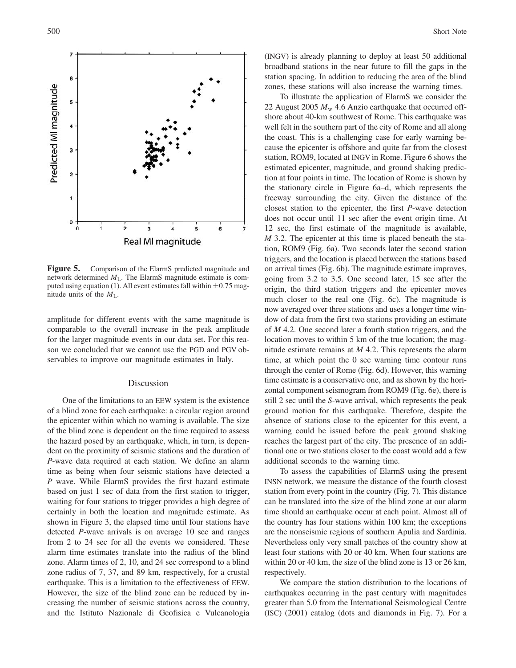

Figure 5. Comparison of the ElarmS predicted magnitude and network determined  $M<sub>L</sub>$ . The ElarmS magnitude estimate is computed using equation (1). All event estimates fall within  $\pm 0.75$  magnitude units of the  $M_{\rm L}$ .

amplitude for different events with the same magnitude is comparable to the overall increase in the peak amplitude for the larger magnitude events in our data set. For this reason we concluded that we cannot use the PGD and PGV observables to improve our magnitude estimates in Italy.

#### Discussion

One of the limitations to an EEW system is the existence of a blind zone for each earthquake: a circular region around the epicenter within which no warning is available. The size of the blind zone is dependent on the time required to assess the hazard posed by an earthquake, which, in turn, is dependent on the proximity of seismic stations and the duration of P-wave data required at each station. We define an alarm time as being when four seismic stations have detected a P wave. While ElarmS provides the first hazard estimate based on just 1 sec of data from the first station to trigger, waiting for four stations to trigger provides a high degree of certainly in both the location and magnitude estimate. As shown in Figure 3, the elapsed time until four stations have detected P-wave arrivals is on average 10 sec and ranges from 2 to 24 sec for all the events we considered. These alarm time estimates translate into the radius of the blind zone. Alarm times of 2, 10, and 24 sec correspond to a blind zone radius of 7, 37, and 89 km, respectively, for a crustal earthquake. This is a limitation to the effectiveness of EEW. However, the size of the blind zone can be reduced by increasing the number of seismic stations across the country, and the Istituto Nazionale di Geofisica e Vulcanologia (INGV) is already planning to deploy at least 50 additional broadband stations in the near future to fill the gaps in the station spacing. In addition to reducing the area of the blind zones, these stations will also increase the warning times.

To illustrate the application of ElarmS we consider the 22 August 2005  $M_w$  4.6 Anzio earthquake that occurred offshore about 40-km southwest of Rome. This earthquake was well felt in the southern part of the city of Rome and all along the coast. This is a challenging case for early warning because the epicenter is offshore and quite far from the closest station, ROM9, located at INGV in Rome. Figure 6 shows the estimated epicenter, magnitude, and ground shaking prediction at four points in time. The location of Rome is shown by the stationary circle in Figure 6a–d, which represents the freeway surrounding the city. Given the distance of the closest station to the epicenter, the first P-wave detection does not occur until 11 sec after the event origin time. At 12 sec, the first estimate of the magnitude is available, M 3.2. The epicenter at this time is placed beneath the station, ROM9 (Fig. 6a). Two seconds later the second station triggers, and the location is placed between the stations based on arrival times (Fig. 6b). The magnitude estimate improves, going from 3.2 to 3.5. One second later, 15 sec after the origin, the third station triggers and the epicenter moves much closer to the real one (Fig. 6c). The magnitude is now averaged over three stations and uses a longer time window of data from the first two stations providing an estimate of  $M$  4.2. One second later a fourth station triggers, and the location moves to within 5 km of the true location; the magnitude estimate remains at  $M$  4.2. This represents the alarm time, at which point the 0 sec warning time contour runs through the center of Rome (Fig. 6d). However, this warning time estimate is a conservative one, and as shown by the horizontal component seismogram from ROM9 (Fig. 6e), there is still 2 sec until the S-wave arrival, which represents the peak ground motion for this earthquake. Therefore, despite the absence of stations close to the epicenter for this event, a warning could be issued before the peak ground shaking reaches the largest part of the city. The presence of an additional one or two stations closer to the coast would add a few additional seconds to the warning time.

To assess the capabilities of ElarmS using the present INSN network, we measure the distance of the fourth closest station from every point in the country (Fig. 7). This distance can be translated into the size of the blind zone at our alarm time should an earthquake occur at each point. Almost all of the country has four stations within 100 km; the exceptions are the nonseismic regions of southern Apulia and Sardinia. Nevertheless only very small patches of the country show at least four stations with 20 or 40 km. When four stations are within 20 or 40 km, the size of the blind zone is 13 or 26 km, respectively.

We compare the station distribution to the locations of earthquakes occurring in the past century with magnitudes greater than 5.0 from the International Seismological Centre (ISC) (2001) catalog (dots and diamonds in Fig. 7). For a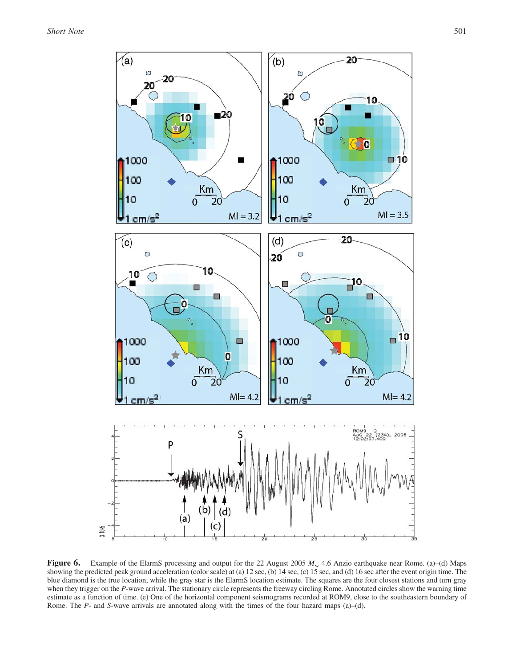

Figure 6. Example of the ElarmS processing and output for the 22 August 2005  $M_w$  4.6 Anzio earthquake near Rome. (a)–(d) Maps showing the predicted peak ground acceleration (color scale) at (a) 12 sec, (b) 14 sec, (c) 15 sec, and (d) 16 sec after the event origin time. The blue diamond is the true location, while the gray star is the ElarmS location estimate. The squares are the four closest stations and turn gray when they trigger on the P-wave arrival. The stationary circle represents the freeway circling Rome. Annotated circles show the warning time estimate as a function of time. (e) One of the horizontal component seismograms recorded at ROM9, close to the southeastern boundary of Rome. The P- and S-wave arrivals are annotated along with the times of the four hazard maps (a)–(d).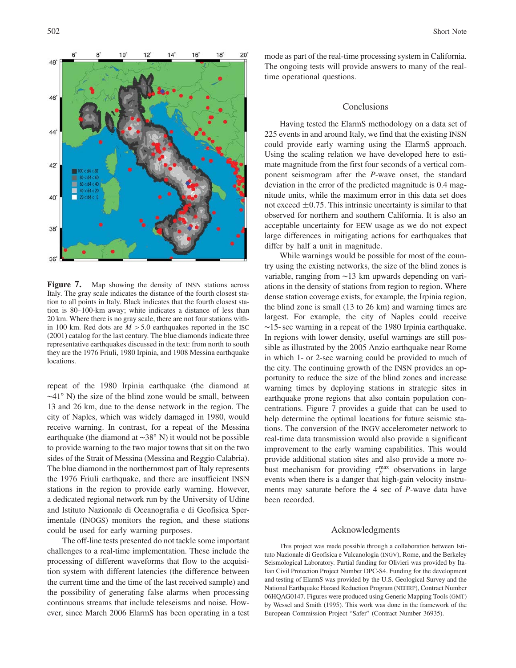

Figure 7. Map showing the density of INSN stations across Italy. The gray scale indicates the distance of the fourth closest station to all points in Italy. Black indicates that the fourth closest station is 80–100-km away; white indicates a distance of less than 20 km. Where there is no gray scale, there are not four stations within 100 km. Red dots are  $M > 5.0$  earthquakes reported in the ISC (2001) catalog for the last century. The blue diamonds indicate three representative earthquakes discussed in the text: from north to south they are the 1976 Friuli, 1980 Irpinia, and 1908 Messina earthquake locations.

repeat of the 1980 Irpinia earthquake (the diamond at ∼41° N) the size of the blind zone would be small, between 13 and 26 km, due to the dense network in the region. The city of Naples, which was widely damaged in 1980, would receive warning. In contrast, for a repeat of the Messina earthquake (the diamond at ∼38° N) it would not be possible to provide warning to the two major towns that sit on the two sides of the Strait of Messina (Messina and Reggio Calabria). The blue diamond in the northernmost part of Italy represents the 1976 Friuli earthquake, and there are insufficient INSN stations in the region to provide early warning. However, a dedicated regional network run by the University of Udine and Istituto Nazionale di Oceanografia e di Geofisica Sperimentale (INOGS) monitors the region, and these stations could be used for early warning purposes.

The off-line tests presented do not tackle some important challenges to a real-time implementation. These include the processing of different waveforms that flow to the acquisition system with different latencies (the difference between the current time and the time of the last received sample) and the possibility of generating false alarms when processing continuous streams that include teleseisms and noise. However, since March 2006 ElarmS has been operating in a test mode as part of the real-time processing system in California. The ongoing tests will provide answers to many of the realtime operational questions.

#### Conclusions

Having tested the ElarmS methodology on a data set of 225 events in and around Italy, we find that the existing INSN could provide early warning using the ElarmS approach. Using the scaling relation we have developed here to estimate magnitude from the first four seconds of a vertical component seismogram after the P-wave onset, the standard deviation in the error of the predicted magnitude is 0.4 magnitude units, while the maximum error in this data set does not exceed  $\pm 0.75$ . This intrinsic uncertainty is similar to that observed for northern and southern California. It is also an acceptable uncertainty for EEW usage as we do not expect large differences in mitigating actions for earthquakes that differ by half a unit in magnitude.

While warnings would be possible for most of the country using the existing networks, the size of the blind zones is variable, ranging from ∼13 km upwards depending on variations in the density of stations from region to region. Where dense station coverage exists, for example, the Irpinia region, the blind zone is small (13 to 26 km) and warning times are largest. For example, the city of Naples could receive ∼15- sec warning in a repeat of the 1980 Irpinia earthquake. In regions with lower density, useful warnings are still possible as illustrated by the 2005 Anzio earthquake near Rome in which 1- or 2-sec warning could be provided to much of the city. The continuing growth of the INSN provides an opportunity to reduce the size of the blind zones and increase warning times by deploying stations in strategic sites in earthquake prone regions that also contain population concentrations. Figure 7 provides a guide that can be used to help determine the optimal locations for future seismic stations. The conversion of the INGV accelerometer network to real-time data transmission would also provide a significant improvement to the early warning capabilities. This would provide additional station sites and also provide a more robust mechanism for providing  $\tau_p^{\text{max}}$  observations in large events when there is a danger that high-gain velocity instruments may saturate before the 4 sec of P-wave data have been recorded.

#### Acknowledgments

This project was made possible through a collaboration between Istituto Nazionale di Geofisica e Vulcanologia (INGV), Rome, and the Berkeley Seismological Laboratory. Partial funding for Olivieri was provided by Italian Civil Protection Project Number DPC-S4. Funding for the development and testing of ElarmS was provided by the U.S. Geological Survey and the National Earthquake Hazard Reduction Program (NEHRP), Contract Number 06HQAG0147. Figures were produced using Generic Mapping Tools (GMT) by Wessel and Smith (1995). This work was done in the framework of the European Commission Project "Safer" (Contract Number 36935).